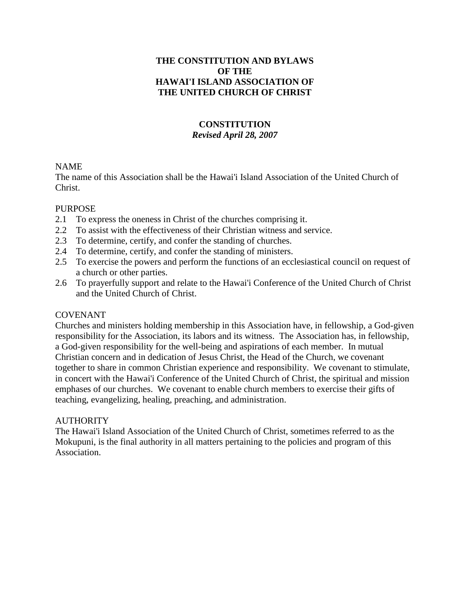## **THE CONSTITUTION AND BYLAWS OF THE HAWAI'I ISLAND ASSOCIATION OF THE UNITED CHURCH OF CHRIST**

# **CONSTITUTION** *Revised April 28, 2007*

## NAME

The name of this Association shall be the Hawai'i Island Association of the United Church of Christ.

## PURPOSE

- 2.1 To express the oneness in Christ of the churches comprising it.
- 2.2 To assist with the effectiveness of their Christian witness and service.
- 2.3 To determine, certify, and confer the standing of churches.
- 2.4 To determine, certify, and confer the standing of ministers.
- 2.5 To exercise the powers and perform the functions of an ecclesiastical council on request of a church or other parties.
- 2.6 To prayerfully support and relate to the Hawai'i Conference of the United Church of Christ and the United Church of Christ.

# COVENANT

Churches and ministers holding membership in this Association have, in fellowship, a God-given responsibility for the Association, its labors and its witness. The Association has, in fellowship, a God-given responsibility for the well-being and aspirations of each member. In mutual Christian concern and in dedication of Jesus Christ, the Head of the Church, we covenant together to share in common Christian experience and responsibility. We covenant to stimulate, in concert with the Hawai'i Conference of the United Church of Christ, the spiritual and mission emphases of our churches. We covenant to enable church members to exercise their gifts of teaching, evangelizing, healing, preaching, and administration.

# **AUTHORITY**

The Hawai'i Island Association of the United Church of Christ, sometimes referred to as the Mokupuni, is the final authority in all matters pertaining to the policies and program of this Association.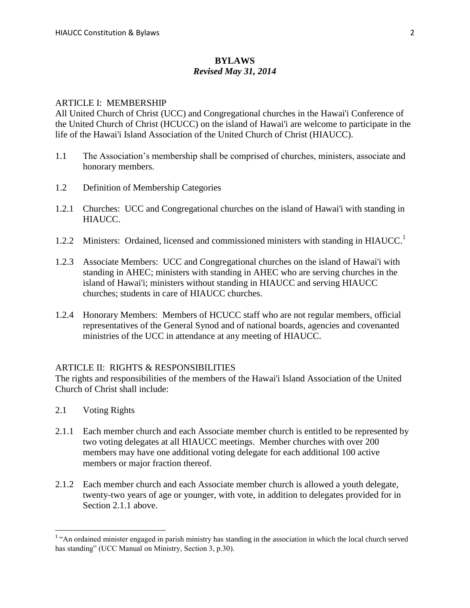#### **BYLAWS** *Revised May 31, 2014*

#### ARTICLE I: MEMBERSHIP

All United Church of Christ (UCC) and Congregational churches in the Hawai'i Conference of the United Church of Christ (HCUCC) on the island of Hawai'i are welcome to participate in the life of the Hawai'i Island Association of the United Church of Christ (HIAUCC).

- 1.1 The Association's membership shall be comprised of churches, ministers, associate and honorary members.
- 1.2 Definition of Membership Categories
- 1.2.1 Churches: UCC and Congregational churches on the island of Hawai'i with standing in HIAUCC.
- 1.2.2 Ministers: Ordained, licensed and commissioned ministers with standing in HIAUCC.<sup>1</sup>
- 1.2.3 Associate Members: UCC and Congregational churches on the island of Hawai'i with standing in AHEC; ministers with standing in AHEC who are serving churches in the island of Hawai'i; ministers without standing in HIAUCC and serving HIAUCC churches; students in care of HIAUCC churches.
- 1.2.4 Honorary Members: Members of HCUCC staff who are not regular members, official representatives of the General Synod and of national boards, agencies and covenanted ministries of the UCC in attendance at any meeting of HIAUCC.

#### ARTICLE II: RIGHTS & RESPONSIBILITIES

The rights and responsibilities of the members of the Hawai'i Island Association of the United Church of Christ shall include:

- 2.1 Voting Rights
- 2.1.1 Each member church and each Associate member church is entitled to be represented by two voting delegates at all HIAUCC meetings. Member churches with over 200 members may have one additional voting delegate for each additional 100 active members or major fraction thereof.
- 2.1.2 Each member church and each Associate member church is allowed a youth delegate, twenty-two years of age or younger, with vote, in addition to delegates provided for in Section 2.1.1 above.

<sup>&</sup>lt;sup>1</sup> "An ordained minister engaged in parish ministry has standing in the association in which the local church served has standing" (UCC Manual on Ministry, Section 3, p.30).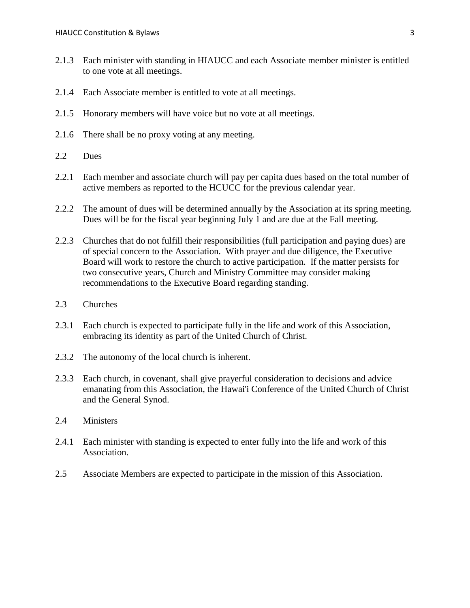- 2.1.3 Each minister with standing in HIAUCC and each Associate member minister is entitled to one vote at all meetings.
- 2.1.4 Each Associate member is entitled to vote at all meetings.
- 2.1.5 Honorary members will have voice but no vote at all meetings.
- 2.1.6 There shall be no proxy voting at any meeting.
- 2.2 Dues
- 2.2.1 Each member and associate church will pay per capita dues based on the total number of active members as reported to the HCUCC for the previous calendar year.
- 2.2.2 The amount of dues will be determined annually by the Association at its spring meeting. Dues will be for the fiscal year beginning July 1 and are due at the Fall meeting.
- 2.2.3 Churches that do not fulfill their responsibilities (full participation and paying dues) are of special concern to the Association. With prayer and due diligence, the Executive Board will work to restore the church to active participation. If the matter persists for two consecutive years, Church and Ministry Committee may consider making recommendations to the Executive Board regarding standing.
- 2.3 Churches
- 2.3.1 Each church is expected to participate fully in the life and work of this Association, embracing its identity as part of the United Church of Christ.
- 2.3.2 The autonomy of the local church is inherent.
- 2.3.3 Each church, in covenant, shall give prayerful consideration to decisions and advice emanating from this Association, the Hawai'i Conference of the United Church of Christ and the General Synod.
- 2.4 Ministers
- 2.4.1 Each minister with standing is expected to enter fully into the life and work of this Association.
- 2.5 Associate Members are expected to participate in the mission of this Association.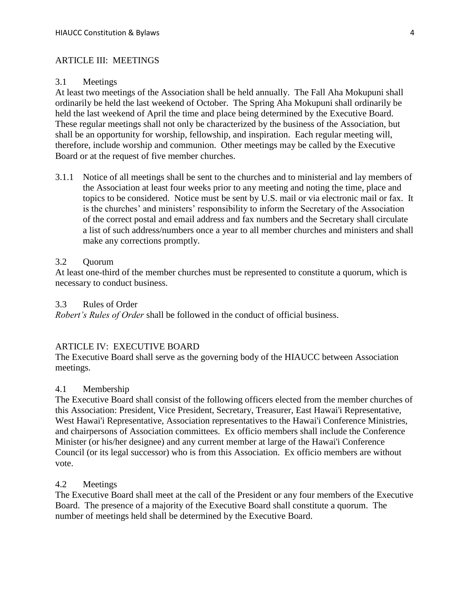### ARTICLE III: MEETINGS

#### 3.1 Meetings

At least two meetings of the Association shall be held annually. The Fall Aha Mokupuni shall ordinarily be held the last weekend of October. The Spring Aha Mokupuni shall ordinarily be held the last weekend of April the time and place being determined by the Executive Board. These regular meetings shall not only be characterized by the business of the Association, but shall be an opportunity for worship, fellowship, and inspiration. Each regular meeting will, therefore, include worship and communion. Other meetings may be called by the Executive Board or at the request of five member churches.

3.1.1 Notice of all meetings shall be sent to the churches and to ministerial and lay members of the Association at least four weeks prior to any meeting and noting the time, place and topics to be considered. Notice must be sent by U.S. mail or via electronic mail or fax. It is the churches' and ministers' responsibility to inform the Secretary of the Association of the correct postal and email address and fax numbers and the Secretary shall circulate a list of such address/numbers once a year to all member churches and ministers and shall make any corrections promptly.

#### 3.2 Quorum

At least one-third of the member churches must be represented to constitute a quorum, which is necessary to conduct business.

### 3.3 Rules of Order

*Robert's Rules of Order* shall be followed in the conduct of official business.

### ARTICLE IV: EXECUTIVE BOARD

The Executive Board shall serve as the governing body of the HIAUCC between Association meetings.

#### 4.1 Membership

The Executive Board shall consist of the following officers elected from the member churches of this Association: President, Vice President, Secretary, Treasurer, East Hawai'i Representative, West Hawai'i Representative, Association representatives to the Hawai'i Conference Ministries, and chairpersons of Association committees. Ex officio members shall include the Conference Minister (or his/her designee) and any current member at large of the Hawai'i Conference Council (or its legal successor) who is from this Association. Ex officio members are without vote.

#### 4.2 Meetings

The Executive Board shall meet at the call of the President or any four members of the Executive Board. The presence of a majority of the Executive Board shall constitute a quorum. The number of meetings held shall be determined by the Executive Board.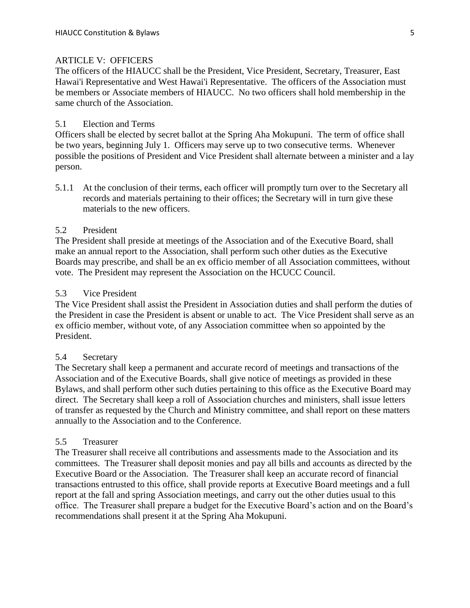## ARTICLE V: OFFICERS

The officers of the HIAUCC shall be the President, Vice President, Secretary, Treasurer, East Hawai'i Representative and West Hawai'i Representative. The officers of the Association must be members or Associate members of HIAUCC. No two officers shall hold membership in the same church of the Association.

#### 5.1 Election and Terms

Officers shall be elected by secret ballot at the Spring Aha Mokupuni. The term of office shall be two years, beginning July 1. Officers may serve up to two consecutive terms. Whenever possible the positions of President and Vice President shall alternate between a minister and a lay person.

5.1.1 At the conclusion of their terms, each officer will promptly turn over to the Secretary all records and materials pertaining to their offices; the Secretary will in turn give these materials to the new officers.

### 5.2 President

The President shall preside at meetings of the Association and of the Executive Board, shall make an annual report to the Association, shall perform such other duties as the Executive Boards may prescribe, and shall be an ex officio member of all Association committees, without vote. The President may represent the Association on the HCUCC Council.

#### 5.3 Vice President

The Vice President shall assist the President in Association duties and shall perform the duties of the President in case the President is absent or unable to act. The Vice President shall serve as an ex officio member, without vote, of any Association committee when so appointed by the President.

#### 5.4 Secretary

The Secretary shall keep a permanent and accurate record of meetings and transactions of the Association and of the Executive Boards, shall give notice of meetings as provided in these Bylaws, and shall perform other such duties pertaining to this office as the Executive Board may direct. The Secretary shall keep a roll of Association churches and ministers, shall issue letters of transfer as requested by the Church and Ministry committee, and shall report on these matters annually to the Association and to the Conference.

#### 5.5 Treasurer

The Treasurer shall receive all contributions and assessments made to the Association and its committees. The Treasurer shall deposit monies and pay all bills and accounts as directed by the Executive Board or the Association. The Treasurer shall keep an accurate record of financial transactions entrusted to this office, shall provide reports at Executive Board meetings and a full report at the fall and spring Association meetings, and carry out the other duties usual to this office. The Treasurer shall prepare a budget for the Executive Board's action and on the Board's recommendations shall present it at the Spring Aha Mokupuni.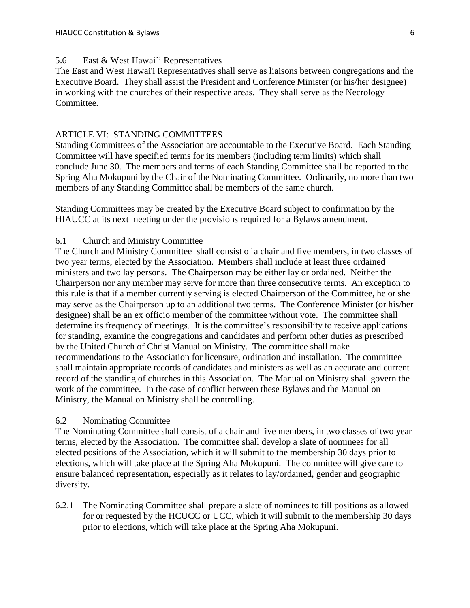### 5.6 East & West Hawai`i Representatives

The East and West Hawai'i Representatives shall serve as liaisons between congregations and the Executive Board. They shall assist the President and Conference Minister (or his/her designee) in working with the churches of their respective areas. They shall serve as the Necrology Committee.

### ARTICLE VI: STANDING COMMITTEES

Standing Committees of the Association are accountable to the Executive Board. Each Standing Committee will have specified terms for its members (including term limits) which shall conclude June 30. The members and terms of each Standing Committee shall be reported to the Spring Aha Mokupuni by the Chair of the Nominating Committee. Ordinarily, no more than two members of any Standing Committee shall be members of the same church.

Standing Committees may be created by the Executive Board subject to confirmation by the HIAUCC at its next meeting under the provisions required for a Bylaws amendment.

### 6.1 Church and Ministry Committee

The Church and Ministry Committee shall consist of a chair and five members, in two classes of two year terms, elected by the Association. Members shall include at least three ordained ministers and two lay persons. The Chairperson may be either lay or ordained. Neither the Chairperson nor any member may serve for more than three consecutive terms. An exception to this rule is that if a member currently serving is elected Chairperson of the Committee, he or she may serve as the Chairperson up to an additional two terms. The Conference Minister (or his/her designee) shall be an ex officio member of the committee without vote. The committee shall determine its frequency of meetings. It is the committee's responsibility to receive applications for standing, examine the congregations and candidates and perform other duties as prescribed by the United Church of Christ Manual on Ministry. The committee shall make recommendations to the Association for licensure, ordination and installation. The committee shall maintain appropriate records of candidates and ministers as well as an accurate and current record of the standing of churches in this Association. The Manual on Ministry shall govern the work of the committee. In the case of conflict between these Bylaws and the Manual on Ministry, the Manual on Ministry shall be controlling.

#### 6.2 Nominating Committee

The Nominating Committee shall consist of a chair and five members, in two classes of two year terms, elected by the Association. The committee shall develop a slate of nominees for all elected positions of the Association, which it will submit to the membership 30 days prior to elections, which will take place at the Spring Aha Mokupuni. The committee will give care to ensure balanced representation, especially as it relates to lay/ordained, gender and geographic diversity.

6.2.1 The Nominating Committee shall prepare a slate of nominees to fill positions as allowed for or requested by the HCUCC or UCC, which it will submit to the membership 30 days prior to elections, which will take place at the Spring Aha Mokupuni.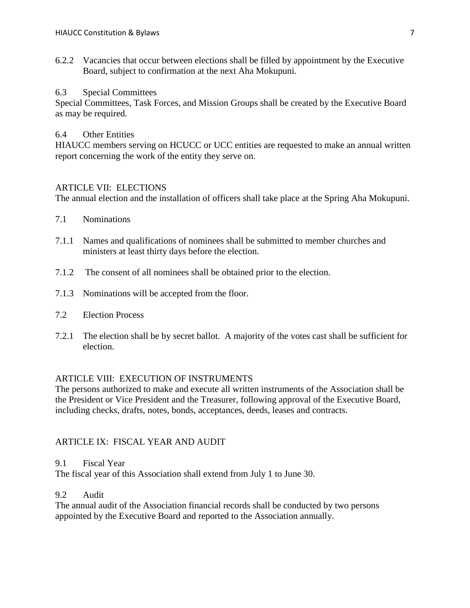6.2.2 Vacancies that occur between elections shall be filled by appointment by the Executive Board, subject to confirmation at the next Aha Mokupuni.

## 6.3 Special Committees

Special Committees, Task Forces, and Mission Groups shall be created by the Executive Board as may be required.

## 6.4 Other Entities

HIAUCC members serving on HCUCC or UCC entities are requested to make an annual written report concerning the work of the entity they serve on.

## ARTICLE VII: ELECTIONS

The annual election and the installation of officers shall take place at the Spring Aha Mokupuni.

- 7.1 Nominations
- 7.1.1 Names and qualifications of nominees shall be submitted to member churches and ministers at least thirty days before the election.
- 7.1.2 The consent of all nominees shall be obtained prior to the election.
- 7.1.3 Nominations will be accepted from the floor.
- 7.2 Election Process
- 7.2.1 The election shall be by secret ballot. A majority of the votes cast shall be sufficient for election.

# ARTICLE VIII: EXECUTION OF INSTRUMENTS

The persons authorized to make and execute all written instruments of the Association shall be the President or Vice President and the Treasurer, following approval of the Executive Board, including checks, drafts, notes, bonds, acceptances, deeds, leases and contracts.

# ARTICLE IX: FISCAL YEAR AND AUDIT

### 9.1 Fiscal Year

The fiscal year of this Association shall extend from July 1 to June 30.

# 9.2 Audit

The annual audit of the Association financial records shall be conducted by two persons appointed by the Executive Board and reported to the Association annually.